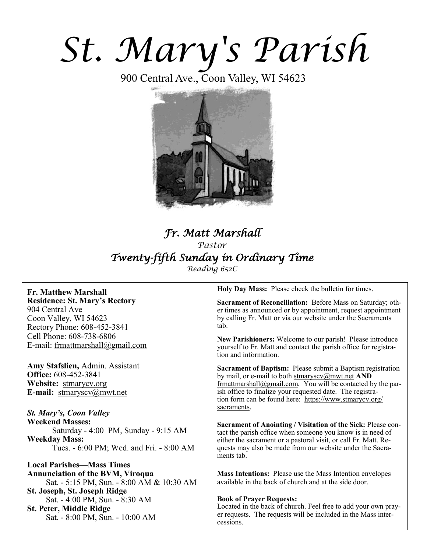# *St. Mary's Parish*

900 Central Ave., Coon Valley, WI 54623



# *Fr. Matt Marshall Pastor Twenty-fifth Sunday in Ordinary Time Reading 652C*

#### **Fr. Matthew Marshall Residence: St. Mary's Rectory** 904 Central Ave Coon Valley, WI 54623 Rectory Phone: 608-452-3841 Cell Phone: 608-738-6806 E-mail: [frmattmarshall@gmail.com](mailto:frmattmarshall@gmail.com)

**Amy Stafslien,** Admin. Assistant **Office:** 608-452-3841 **Website:** <stmarycv.org> **E-mail:** [stmaryscv@mwt.net](mailto:stmaryscv@mwt.net)

*St. Mary's, Coon Valley*  **Weekend Masses:** Saturday - 4:00 PM, Sunday - 9:15 AM **Weekday Mass:**  Tues. - 6:00 PM; Wed. and Fri. - 8:00 AM

**Local Parishes—Mass Times Annunciation of the BVM, Viroqua** Sat. - 5:15 PM, Sun. - 8:00 AM & 10:30 AM **St. Joseph, St. Joseph Ridge** Sat. - 4:00 PM, Sun. - 8:30 AM **St. Peter, Middle Ridge** Sat. - 8:00 PM, Sun. - 10:00 AM

**Holy Day Mass:** Please check the bulletin for times.

**Sacrament of Reconciliation:** Before Mass on Saturday; other times as announced or by appointment, request appointment by calling Fr. Matt or via our website under the Sacraments tab.

**New Parishioners:** Welcome to our parish! Please introduce yourself to Fr. Matt and contact the parish office for registration and information.

**Sacrament of Baptism:** Please submit a Baptism registration by mail, or e-mail to both [stmaryscv@mwt.net](mailto:stmaryscv@mwt.net) **AND** [frmattmarshall@gmail.com](mailto:frmattmarshall@gmail.com)*.* You will be contacted by the parish office to finalize your requested date. The registration form can be found here: [https://www.stmarycv.org/](https://www.stmarycv.org/sacraments) [sacraments.](https://www.stmarycv.org/sacraments) 

**Sacrament of Anointing / Visitation of the Sick:** Please contact the parish office when someone you know is in need of either the sacrament or a pastoral visit, or call Fr. Matt. Requests may also be made from our website under the Sacraments tab.

**Mass Intentions:** Please use the Mass Intention envelopes available in the back of church and at the side door.

#### **Book of Prayer Requests:**

Located in the back of church. Feel free to add your own prayer requests. The requests will be included in the Mass intercessions.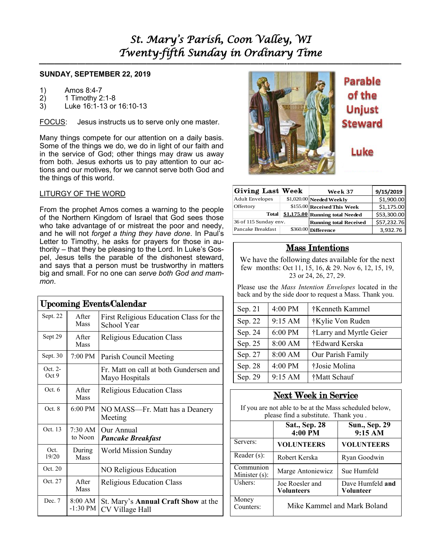**—————————————————————————–———–-——–--—————————————–—**

#### **SUNDAY, SEPTEMBER 22, 2019**

- 1) Amos 8:4-7
- 2) 1 Timothy 2:1-8<br>3) Luke 16:1-13 or
- 3) Luke 16:1-13 or 16:10-13

FOCUS: Jesus instructs us to serve only one master.

Many things compete for our attention on a daily basis. Some of the things we do, we do in light of our faith and in the service of God; other things may draw us away from both. Jesus exhorts us to pay attention to our actions and our motives, for we cannot serve both God and the things of this world.

#### LITURGY OF THE WORD

From the prophet Amos comes a warning to the people of the Northern Kingdom of Israel that God sees those who take advantage of or mistreat the poor and needy, and he will not *forget a thing they have done*. In Paul's Letter to Timothy, he asks for prayers for those in authority – that they be pleasing to the Lord. In Luke's Gospel, Jesus tells the parable of the dishonest steward, and says that a person must be trustworthy in matters big and small. For no one can *serve both God and mammon*.

| <b>Upcoming Events/Calendar</b> |                              |                                                               |  |  |  |  |
|---------------------------------|------------------------------|---------------------------------------------------------------|--|--|--|--|
| Sept. 22                        | <b>A</b> fter<br><b>Mass</b> | First Religious Education Class for the<br><b>School Year</b> |  |  |  |  |
| Sept 29                         | After<br><b>Mass</b>         | Religious Education Class                                     |  |  |  |  |
| Sept. 30                        | 7:00 PM                      | Parish Council Meeting                                        |  |  |  |  |
| Oct. 2-<br>Oct 9                |                              | Fr. Matt on call at both Gundersen and<br>Mayo Hospitals      |  |  |  |  |
| Oct.6                           | After<br><b>Mass</b>         | <b>Religious Education Class</b>                              |  |  |  |  |
| Oct.8                           | $6:00 \text{ PM}$            | NO MASS-Fr. Matt has a Deanery<br>Meeting                     |  |  |  |  |
| Oct. 13                         | $7:30 \text{ AM}$<br>to Noon | Our Annual<br><b>Pancake Breakfast</b>                        |  |  |  |  |
| Oct.<br>19/20                   | During<br><b>Mass</b>        | World Mission Sunday                                          |  |  |  |  |
| Oct. 20                         |                              | NO Religious Education                                        |  |  |  |  |
| Oct. 27                         | After<br>Mass                | Religious Education Class                                     |  |  |  |  |
| Dec. 7                          | 8:00 AM<br>-1:30 PM          | St. Mary's Annual Craft Show at the<br>CV Village Hall        |  |  |  |  |



**Parable** of the **Unjust Steward** 

Luke

| Giving Last Week       | Week 37                         | 9/15/2019   |
|------------------------|---------------------------------|-------------|
| <b>Adult Envelopes</b> | \$1,020.00 Needed Weekly        | \$1,900.00  |
| Offertory              | \$155.00 Received This Week     | \$1,175.00  |
| <b>Total</b>           | \$1.175.00 Running total Needed | \$53,300.00 |
| 36 of 115 Sunday env.  | <b>Running total Received</b>   | \$57,232.76 |
| Pancake Breakfast      | \$360.00 Difference             | 3,932.76    |

#### Mass Intentions

| Sep. 21 | 4:00 PM | †Kenneth Kammel         |  |
|---------|---------|-------------------------|--|
| Sep. 22 | 9:15 AM | †Kylie Von Ruden        |  |
| Sep. 24 | 6:00 PM | †Larry and Myrtle Geier |  |
| Sep. 25 | 8:00 AM | †Edward Kerska          |  |
| Sep. 27 | 8:00 AM | Our Parish Family       |  |
| Sep. 28 | 4:00 PM | †Josie Molina           |  |
| Sep. 29 | 9:15 AM | †Matt Schauf            |  |

## Next Week in Service

| <b>Giving Last Week</b>                                                                                           |                                                                                                |                                 | Week 37                         | 9/15/2019   |  |  |
|-------------------------------------------------------------------------------------------------------------------|------------------------------------------------------------------------------------------------|---------------------------------|---------------------------------|-------------|--|--|
| <b>Adult Envelopes</b>                                                                                            |                                                                                                | $$1,020.00$ Needed Weekly       |                                 | \$1,900.00  |  |  |
| Offertory                                                                                                         |                                                                                                | \$155.00 Received This Week     |                                 | \$1,175.00  |  |  |
| <b>Total</b>                                                                                                      |                                                                                                | \$1.175.00 Running total Needed |                                 | \$53,300.00 |  |  |
| 36 of 115 Sunday env.<br>Pancake Breakfast                                                                        |                                                                                                | \$360.00 Difference             | <b>Running total Received</b>   | \$57,232.76 |  |  |
|                                                                                                                   |                                                                                                |                                 |                                 | 3,932.76    |  |  |
|                                                                                                                   |                                                                                                | <b>Mass Intentions</b>          |                                 |             |  |  |
| We have the following dates available for the next                                                                |                                                                                                |                                 |                                 |             |  |  |
| few months: Oct 11, 15, 16, & 29. Nov 6, 12, 15, 19,<br>23 or 24, 26, 27, 29.                                     |                                                                                                |                                 |                                 |             |  |  |
| Please use the Mass Intention Envelopes located in the<br>back and by the side door to request a Mass. Thank you. |                                                                                                |                                 |                                 |             |  |  |
| Sep. 21                                                                                                           | 4:00 PM                                                                                        | †Kenneth Kammel                 |                                 |             |  |  |
| Sep. 22                                                                                                           | 9:15 AM                                                                                        | †Kylie Von Ruden                |                                 |             |  |  |
| Sep. 24                                                                                                           | 6:00 PM                                                                                        | †Larry and Myrtle Geier         |                                 |             |  |  |
| Sep. 25                                                                                                           | 8:00 AM                                                                                        | †Edward Kerska                  |                                 |             |  |  |
| Sep. 27                                                                                                           | 8:00 AM                                                                                        | Our Parish Family               |                                 |             |  |  |
| Sep. 28                                                                                                           | 4:00 PM                                                                                        | †Josie Molina                   |                                 |             |  |  |
| Sep. 29                                                                                                           | 9:15 AM                                                                                        | †Matt Schauf                    |                                 |             |  |  |
|                                                                                                                   | <b>Next Week in Service</b>                                                                    |                                 |                                 |             |  |  |
|                                                                                                                   | If you are not able to be at the Mass scheduled below,<br>please find a substitute. Thank you. |                                 |                                 |             |  |  |
|                                                                                                                   | <b>Sat., Sep. 28</b><br>4:00 PM                                                                |                                 | <b>Sun., Sep. 29</b><br>9:15 AM |             |  |  |
| Servers:                                                                                                          | <b>VOLUNTEERS</b>                                                                              |                                 | <b>VOLUNTEERS</b>               |             |  |  |
| Reader $(s)$ :                                                                                                    | Robert Kerska                                                                                  |                                 | Ryan Goodwin                    |             |  |  |
| Communion<br>Minister (s):                                                                                        | Marge Antoniewicz                                                                              |                                 | Sue Humfeld                     |             |  |  |
| Ushers:                                                                                                           | Joe Roesler and<br><b>Volunteers</b>                                                           |                                 | Dave Humfeld and<br>Volunteer   |             |  |  |
| Money<br>Counters:                                                                                                | Mike Kammel and Mark Boland                                                                    |                                 |                                 |             |  |  |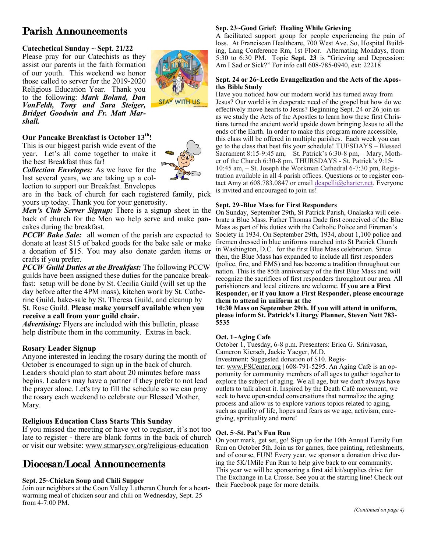# Parish Announcements

#### **Catechetical Sunday ~ Sept. 21/22**

Please pray for our Catechists as they assist our parents in the faith formation of our youth. This weekend we honor those called to server for the 2019-2020 Religious Education Year. Thank you to the following: *Mark Boland, Dan VonFeldt, Tony and Sara Steiger, Bridget Goodwin and Fr. Matt Marshall.* 

#### **Our Pancake Breakfast is October 13th!**

This is our biggest parish wide event of the year. Let's all come together to make it the best Breakfast thus far!



*Collection Envelopes:* As we have for the last several years, we are taking up a collection to support our Breakfast. Envelopes

are in the back of church for each registered family, pick yours up today. Thank you for your generosity.

*Men's Club Server Signup:* There is a signup sheet in the back of church for the Men wo help serve and make pancakes during the breakfast.

*PCCW Bake Sale:* all women of the parish are expected to donate at least \$15 of baked goods for the bake sale or make a donation of \$15. You may also donate garden items or crafts if you prefer.

*PCCW Guild Duties at the Breakfast:* The following PCCW guilds have been assigned these duties for the pancake breakfast: setup will be done by St. Cecilia Guild (will set up the day before after the 4PM mass), kitchen work by St. Catherine Guild, bake-sale by St. Theresa Guild, and cleanup by St. Rose Guild. **Please make yourself available when you receive a call from your guild chair.**

*Advertising:* Flyers are included with this bulletin, please help distribute them in the community. Extras in back.

#### **Rosary Leader Signup**

Anyone interested in leading the rosary during the month of October is encouraged to sign up in the back of church. Leaders should plan to start about 20 minutes before mass begins. Leaders may have a partner if they prefer to not lead the prayer alone. Let's try to fill the schedule so we can pray the rosary each weekend to celebrate our Blessed Mother, Mary.

#### **Religious Education Class Starts This Sunday**

If you missed the meeting or have yet to register, it's not too late to register - there are blank forms in the back of church or visit our website: [www.stmaryscv.org/religious-education](http://www.stmaryscv.org/religious-education)

# Diocesan/Local Announcements

#### **Sept. 25~Chicken Soup and Chili Supper**

Join our neighbors at the Coon Valley Lutheran Church for a heartwarming meal of chicken sour and chili on Wednesday, Sept. 25 from 4-7:00 PM.

#### **Sep. 23~Good Grief: Healing While Grieving**

A facilitated support group for people experiencing the pain of loss. At Franciscan Healthcare, 700 West Ave. So, Hospital Building, Lang Conference Rm, 1st Floor. Alternating Mondays, from 5:30 to 6:30 PM. Topic **Sept. 23** is "Grieving and Depression: Am I Sad or Sick?" For info call 608-785-0940, ext: 22218

#### **Sept. 24 or 26~Lectio Evangelization and the Acts of the Apostles Bible Study**

Have you noticed how our modern world has turned away from Jesus? Our world is in desperate need of the gospel but how do we effectively move hearts to Jesus? Beginning Sept. 24 or 26 join us as we study the Acts of the Apostles to learn how these first Christians turned the ancient world upside down bringing Jesus to all the ends of the Earth. In order to make this program more accessible, this class will be offered in multiple parishes. Each week you can go to the class that best fits your schedule! TUESDAYS – Blessed Sacrament 8:15-9:45 am, – St. Patrick's 6:30-8 pm, – Mary, Mother of the Church 6:30-8 pm. THURSDAYS - St. Patrick's 9:15- 10:45 am, – St. Joseph the Workman Cathedral 6-7:30 pm, Registration available in all 4 parish offices. Questions or to register contact Amy at 608.783.0847 or email [dcapelli@charter.net.](mailto:dcapelli@charter.net) Everyone is invited and encouraged to join us!

#### **Sept. 29~Blue Mass for First Responders**

On Sunday, September 29th, St Patrick Parish, Onalaska will celebrate a Blue Mass. Father Thomas Dade first conceived of the Blue Mass as part of his duties with the Catholic Police and Fireman's Society in 1934. On September 29th, 1934, about 1,100 police and firemen dressed in blue uniforms marched into St Patrick Church in Washington, D.C. for the first Blue Mass celebration. Since then, the Blue Mass has expanded to include all first responders (police, fire, and EMS) and has become a tradition throughout our nation. This is the 85th anniversary of the first Blue Mass and will recognize the sacrifices of first responders throughout our area. All parishioners and local citizens are welcome. **If you are a First Responder, or if you know a First Responder, please encourage them to attend in uniform at the**

**10:30 Mass on September 29th. If you will attend in uniform, please inform St. Patrick's Liturgy Planner, Steven Nott 783- 5535**

#### **Oct. 1~Aging Cafe**

October 1, Tuesday, 6-8 p.m. Presenters: Erica G. Srinivasan, Cameron Kiersch, Jackie Yaeger, M.D.

Investment: Suggested donation of \$10. Regis-

ter: [www.FSCenter.org](http://www.FSCenter.org) | 608-791-5295. An Aging Café is an opportunity for community members of all ages to gather together to explore the subject of aging. We all age, but we don't always have outlets to talk about it. Inspired by the Death Café movement, we seek to have open-ended conversations that normalize the aging process and allow us to explore various topics related to aging, such as quality of life, hopes and fears as we age, activism, caregiving, spirituality and more!

#### **Oct. 5~St. Pat's Fun Run**

On your mark, get set, go! Sign up for the 10th Annual Family Fun Run on October 5th. Join us for games, face painting, refreshments, and of course, FUN! Every year, we sponsor a donation drive during the 5K/1Mile Fun Run to help give back to our community. This year we will be sponsoring a first aid kit/supplies drive for The Exchange in La Crosse. See you at the starting line! Check out their Facebook page for more details.